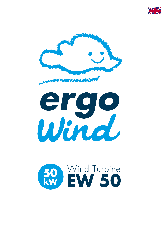





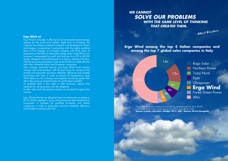#### **Ergo Wind srl**

Albert Einstein

# *WE CANNOT SOLVE OUR PROBLEMS WITH THE SAME LEVEL OF THINKING THAT CREATED THEM.*

Rago Solar **Northern Power** Tozzi Nord Espe Ghrepower **Ergo Wind** Fontel Green Power Altro

51%  $14%$ 13% 6%  $6%$  $4%$ 3% 3%

Ergo Wind is a leader in offering low environmental impact energy systems for the small wind market. Right from its founding, the company has always invested in research and development of new technologies, cooperating in partnership with the highly qualified team of TCS Energie, a successful company with thirty years of experience in the field of renewable energy sector. Ergo Wind core business is represented by small wind turbines from 20 to 60 kW power, designed and manifactured in its factory located in Pesaro, with the precious partnership of Università Politecnica delle Marche and other influential Italian and European companies.

> Extract from the market analysis of wind turbine manufacturers from 20 to 60 kW to the plants built in the two-year period June 2015 - June 2016 in Italy. **Source: Il punto sull'eolico, October 2017, GSE - Gestore Servizi Energetici**

Its qualified staff is also able to offer technical support and assitance for siting process and due diligence.

Its after sales and maintenance centers are located throughout the country.

Their strategic technical choices rank Ergo Wind small turbines among small wind products with the best value for money on the market and guarantee maximum reliability, efficiency and durable functioning over time. In order to ensure full transparency, Ergo Wind allows to visit its factory and supplies monitoring system that allow the access to statistical data of wind turbine installed.

Ergo Wind turbines are designed and manufactured according to IEC 61400-2 regulation. Every mechanical and electromechanical component is realized by qualified European and Italian companies, in order to quarantee maximum reliability, efficiency and durable functiong over time.

**Ergo Wind among the top 4 italian companies and among the top 7 global sales companies in Italy**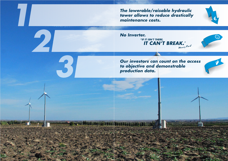*Our investors can count on the access to objective and demonstrable production data.* 



2





Henry Ford

*The lowerable/raisable hydraulic tower allows to reduce drastically maintenance costs.*

*No Inverter. "IF IT ISN'T THERE, IT CAN'T BREAK."*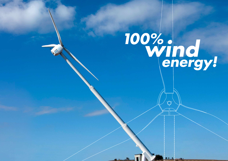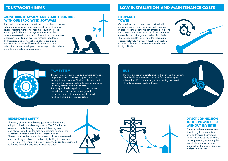The safety of the wind turbine is guaranteed thanks to the adoption of redundant braking systems. The PLC software controls properly the negative hydraulic braking system and allows to modulate the braking according to operational conditions in order to avoid useless mechanical stress. The aerodynamic brake, installed on each blade, is automated and completely mechanical and acts by limiting the overspeed of the rotor. Furthermore, this system keeps the appendixes anchored to the hub through a steel cable inside the blade.

Ergo Wind turbines send operational data to the main server where a dedicated software processes them on 4 different levels: real-time monitoring, report, production statistic, alarm signals. Thanks to this system our team is able to supervise constantly our wind turbines with a comprehensive approach, providing an accurate technical assistance. Furthermore, Ergo Wind web app allows our clients the access to daily/weekly/monthly production data, wind direction and wind speed, percentage of wind turbine operation and estimated profitability.











The yaw system is composed by a slewing drive able to guarantee high rotational coupling and rotor locking during operation. The hydraulic motorization gives profits in terms of trustworthiness, performance, lightness, obstacle and maintenance. The pump of the slewing drive is located inside the technical compartment on the ground. Its special sensors allow to optimize the wind heading thanks to accurate corrections.

Our wind turbines have a tower provided with an hydraulic system for the lifting and lowering, in order to obtain economic advantages both during installation and maintenance, as all the operations are carried out in the ground and not in altitude. The time required to lower/raise the turbine are approximately 20 minutes, without the utilization of cranes, platforms or operators trained to work in high altitude.



# **TRUSTWORTHINESS LOW INSTALLATION AND MAINTENANCE COSTS**

The hub is made by a single block in high-strenght aluminium alloy. Inside there is a cast iron bush for the coupling of turbine shaft. Each hub is x-rayed, connecting the benet of the lightness and trustworthiness.

> Our wind turbines are connected directly to grid power without inverter (through the interface system required by the electricity service provider), increasing the  $g$ lobal efficiency of the system and deleting the odds of damages in electronic devices.

### **HYDRAULIC TOWER**

## **HUB**

### **DIRECT CONNECTION TO THE POWER GRID WITHOUT INVERTER**

### **MONITORING SYSTEM AND REMOTE CONTROL WITH OUR ERGO WIND SOFTWARE**

### **YAW SYSTEM**

## **REDUNDANT SAFETY**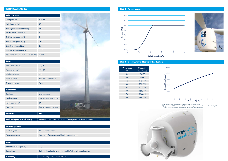#### **EW50 - Gross Annual Electricity Production**

| <b>Rotor</b>          |                        |
|-----------------------|------------------------|
| Rotor diameter (m)    | 15,95                  |
| Swept area $(m^2)$    | 199,99                 |
| Blade lenght (m)      | 7,5                    |
| <b>Blade material</b> | Reinforced fiber glass |
| Power regulation      | Yaw                    |

| <b>Wind Turbine</b>                     |        |
|-----------------------------------------|--------|
| Configuration                           | Upwind |
| Rated power (kW)                        | 50     |
| Rated generator speed (Rpm)             | 60     |
| SWT Class FC 61400-2                    | Ш      |
| Cut-in wind speed (m/s)                 | 3      |
| Rated wind speed (m/s)                  | 10,5   |
| Cut-off wind speed (m/s)                | 25     |
| Survival wind speed (m/s)               | 52,5   |
| Tower top mass (nacelle and rotor) (kg) | 2600   |





\*\*Ergo Wind reserves the right to alter product specifications without prior notice. \*Data shown in graphs are theoretical and based on these conditions using: k (shape parameter,Weibull slope) equal to 1,6 and air density in standard conditions (equal to1,225 Kg/m³).

| <b>Control systems</b> |                                             |
|------------------------|---------------------------------------------|
| Control systems        | PLC + Touch Screen                          |
| Monitoring system      | Web App, Daily/Weekly/Monthly/Annual report |
|                        |                                             |



| <b>Generator</b>                  |                                                                 |
|-----------------------------------|-----------------------------------------------------------------|
| Tipology                          | Asynchronous                                                    |
| Configuration                     | Three phases, 4 poles, 400Vac                                   |
| Rated power (kW)                  | 50                                                              |
| Multiplier                        | Two stages parallel axes                                        |
| <b>Inverter</b>                   | <b>No</b>                                                       |
|                                   |                                                                 |
| <b>Braking systems and safety</b> | Negative brake system on the rotor/Aerodynamic brake/Yaw system |

| Torri                     |                                                                  |
|---------------------------|------------------------------------------------------------------|
| Avalaible hub heights (m) | 24/27                                                            |
| Tower type                | Polygonal section tower with lowerable/raisable hydraulic system |
|                           |                                                                  |
| <b>Warranty</b>           | 2 years subject to possible extension                            |